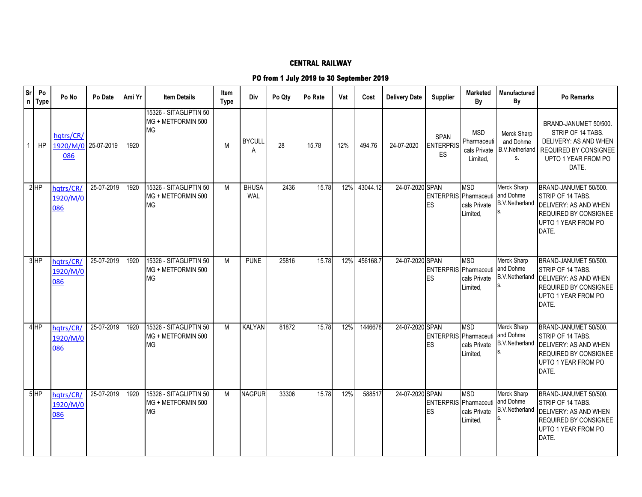## **CENTRAL RAILWAY**

## **PO from 1 July 2019 to 30 September 2019**

| Sr<br>$\mathsf{n}$ | Po<br><b>Type</b> | Po No                        | Po Date    | Ami Yr | <b>Item Details</b>                                | Item<br>Type | Div                 | Po Qty | Po Rate | Vat | Cost     | <b>Delivery Date</b> | <b>Supplier</b>                        | <b>Marketed</b><br>By                                 | Manufactured<br>By                                      | <b>Po Remarks</b>                                                                                                                   |
|--------------------|-------------------|------------------------------|------------|--------|----------------------------------------------------|--------------|---------------------|--------|---------|-----|----------|----------------------|----------------------------------------|-------------------------------------------------------|---------------------------------------------------------|-------------------------------------------------------------------------------------------------------------------------------------|
|                    | HP                | hatrs/CR/<br>1920/M/0<br>086 | 25-07-2019 | 1920   | 15326 - SITAGLIPTIN 50<br>MG + METFORMIN 500<br>ΜG | M            | <b>BYCULL</b><br>A  | 28     | 15.78   | 12% | 494.76   | 24-07-2020           | <b>SPAN</b><br><b>ENTERPRIS</b><br>ES. | <b>MSD</b><br>Pharmaceuti<br>cals Private<br>Limited, | Merck Sharp<br>and Dohme<br><b>B.V.Netherland</b><br>S. | BRAND-JANUMET 50/500.<br>STRIP OF 14 TABS.<br>DELIVERY: AS AND WHEN<br><b>REQUIRED BY CONSIGNEE</b><br>UPTO 1 YEAR FROM PO<br>DATE. |
|                    | $2$ HP            | hatrs/CR<br>1920/M/0<br>086  | 25-07-2019 | 1920   | 15326 - SITAGLIPTIN 50<br>MG + METFORMIN 500<br>МG | M            | <b>BHUSA</b><br>WAL | 2436   | 15.78   | 12% | 43044.12 | 24-07-2020 SPAN      | <b>ENTERPRIS</b> Pharmaceuti<br>ES     | <b>MSD</b><br>cals Private<br>Limited,                | Merck Sharp<br>and Dohme<br><b>B.V.Netherland</b>       | BRAND-JANUMET 50/500.<br>STRIP OF 14 TABS.<br>DELIVERY: AS AND WHEN<br><b>REQUIRED BY CONSIGNEE</b><br>UPTO 1 YEAR FROM PO<br>DATE. |
|                    | $3$ HP            | hqtrs/CR/<br>1920/M/0<br>086 | 25-07-2019 | 1920   | 15326 - SITAGLIPTIN 50<br>MG + METFORMIN 500<br>MG | M            | <b>PUNE</b>         | 25816  | 15.78   | 12% | 456168.7 | 24-07-2020 SPAN      | ENTERPRIS Pharmaceuti<br>ES            | <b>MSD</b><br>cals Private<br>Limited,                | Merck Sharp<br>and Dohme<br><b>B.V.Netherland</b>       | BRAND-JANUMET 50/500.<br>STRIP OF 14 TABS.<br>DELIVERY: AS AND WHEN<br>REQUIRED BY CONSIGNEE<br>UPTO 1 YEAR FROM PO<br>DATE.        |
|                    | 4 <sub>HP</sub>   | hatrs/CR/<br>1920/M/0<br>086 | 25-07-2019 | 1920   | 15326 - SITAGLIPTIN 50<br>MG + METFORMIN 500<br>MG | M            | KALYAN              | 81872  | 15.78   | 12% | 1446678  | 24-07-2020 SPAN      | ENTERPRIS Pharmaceuti<br>ES            | <b>MSD</b><br>cals Private<br>Limited,                | Merck Sharp<br>and Dohme<br><b>B.V.Netherland</b>       | BRAND-JANUMET 50/500.<br>STRIP OF 14 TABS.<br>DELIVERY: AS AND WHEN<br><b>REQUIRED BY CONSIGNEE</b><br>UPTO 1 YEAR FROM PO<br>DATE. |
|                    | 5HP               | hqtrs/CR/<br>1920/M/0<br>086 | 25-07-2019 | 1920   | 15326 - SITAGLIPTIN 50<br>MG + METFORMIN 500<br>MG | M            | <b>NAGPUR</b>       | 33306  | 15.78   | 12% | 588517   | 24-07-2020 SPAN      | ENTERPRIS Pharmaceuti<br>ES            | <b>MSD</b><br>cals Private<br>Limited,                | Merck Sharp<br>and Dohme<br><b>B.V.Netherland</b><br>S. | BRAND-JANUMET 50/500.<br>STRIP OF 14 TABS.<br>DELIVERY: AS AND WHEN<br>REQUIRED BY CONSIGNEE<br>UPTO 1 YEAR FROM PO<br>DATE.        |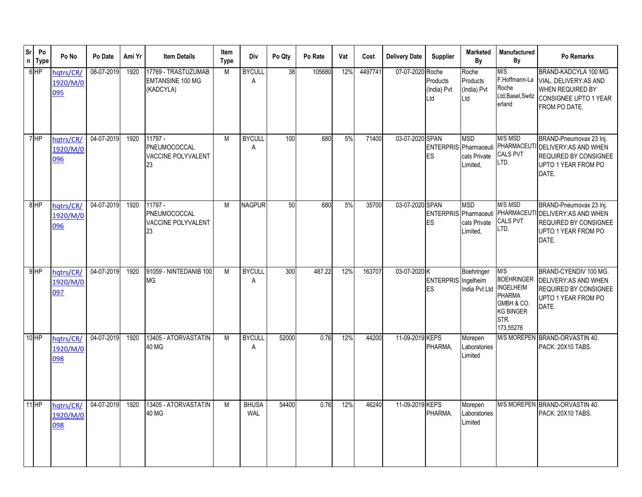| <b>Sr</b><br>$\mathsf{n}$ | Po<br><b>Type</b> | Po No                        | Po Date    | Ami Yr | <b>Item Details</b>                                         | Item<br><b>Type</b> | Div                        | Po Qty | Po Rate | Vat | Cost    | <b>Delivery Date</b> | <b>Supplier</b>                    | Marketed<br>By                          | Manufactured<br>By                                                                                                                        | Po Remarks                                                                                                                                  |
|---------------------------|-------------------|------------------------------|------------|--------|-------------------------------------------------------------|---------------------|----------------------------|--------|---------|-----|---------|----------------------|------------------------------------|-----------------------------------------|-------------------------------------------------------------------------------------------------------------------------------------------|---------------------------------------------------------------------------------------------------------------------------------------------|
|                           | $6$ HP            | hqtrs/CR/<br>1920/M/0<br>095 | 08-07-2019 | 1920   | 17769 - TRASTUZUMAB<br><b>EMTANSINE 100 MG</b><br>(KADCYLA) | M                   | <b>BYCULL</b><br>A         | 38     | 105680  | 12% | 4497741 | 07-07-2020 Roche     | Products<br>(India) Pvt<br>Ltd     | Roche<br>Products<br>(India) Pvt<br>Ltd | M/S<br>F.Hoffmann-La<br>Roche<br>Ltd, Basel, Switz<br>erland                                                                              | BRAND-KADCYLA 100 MG<br>VIAL. DELIVERY: AS AND<br>WHEN REQUIRED BY<br>CONSIGNEE UPTO 1 YEAR<br>FROM PO DATE.                                |
|                           | <b>HP</b>         | hqtrs/CR/<br>1920/M/0<br>096 | 04-07-2019 | 1920   | 11797 -<br>PNEUMOCOCCAL<br>VACCINE POLYVALENT<br>23         | M                   | <b>BYCULL</b><br>A         | 100    | 680     | 5%  | 71400   | 03-07-2020 SPAN      | <b>ENTERPRIS</b> Pharmaceuti<br>ES | <b>MSD</b><br>cals Private<br>Limited,  | M/S MSD<br>CALS PVT<br>LTD.                                                                                                               | BRAND-Pneumovax 23 Inj.<br>PHARMACEUTI DELIVERY: AS AND WHEN<br><b>REQUIRED BY CONSIGNEE</b><br>UPTO 1 YEAR FROM PO<br>DATE.                |
|                           | 8HP               | hatrs/CR/<br>1920/M/0<br>096 | 04-07-2019 | 1920   | 11797 -<br>PNEUMOCOCCAL<br>VACCINE POLYVALENT<br>23         | M                   | <b>NAGPUR</b>              | 50     | 680     | 5%  | 35700   | 03-07-2020 SPAN      | ES                                 | <b>MSD</b><br>cals Private<br>Limited,  | M/S MSD<br>CALS PVT<br>LTD.                                                                                                               | BRAND-Pneumovax 23 Inj.<br>ENTERPRIS Pharmaceuti PHARMACEUTI DELIVERY: AS AND WHEN<br>REQUIRED BY CONSIGNEE<br>UPTO 1 YEAR FROM PO<br>DATE. |
|                           | $9$ HP            | hatrs/CR/<br>1920/M/0<br>097 | 04-07-2019 | 1920   | 91059 - NINTEDANIB 100<br>MG                                | M                   | <b>BYCULL</b><br>A         | 300    | 487.22  | 12% | 163707  | 03-07-2020 K         | ENTERPRIS Ingelheim<br>ES          | Boehringer<br>India Pvt Ltd             | $\overline{\mathsf{MS}}$<br><b>BOEHRINGER</b><br><b>INGELHEIM</b><br><b>PHARMA</b><br>GMBH & CO.<br><b>KG BINGER</b><br>STR.<br>173,55276 | BRAND-CYENDIV 100 MG.<br>DELIVERY: AS AND WHEN<br>REQUIRED BY CONSIGNEE<br>UPTO 1 YEAR FROM PO<br>DATE.                                     |
|                           | $10$ HP           | hqtrs/CR/<br>1920/M/0<br>098 | 04-07-2019 | 1920   | 13405 - ATORVASTATIN<br>40 MG                               | M                   | <b>BYCULL</b><br>A         | 52000  | 0.76    | 12% | 44200   | 11-09-2019 KEPS      | PHARMA.                            | Morepen<br>Laboratories<br>Limited      |                                                                                                                                           | M/S MOREPEN BRAND-ORVASTIN 40.<br>PACK: 20X10 TABS.                                                                                         |
|                           | $11$ HP           | hqtrs/CR/<br>1920/M/0<br>098 | 04-07-2019 | 1920   | 13405 - ATORVASTATIN<br>40 MG                               | M                   | <b>BHUSA</b><br><b>WAL</b> | 54400  | 0.76    | 12% | 46240   | 11-09-2019 KEPS      | PHARMA,                            | Morepen<br>Laboratories<br>Limited      |                                                                                                                                           | M/S MOREPEN BRAND-ORVASTIN 40.<br>PACK: 20X10 TABS.                                                                                         |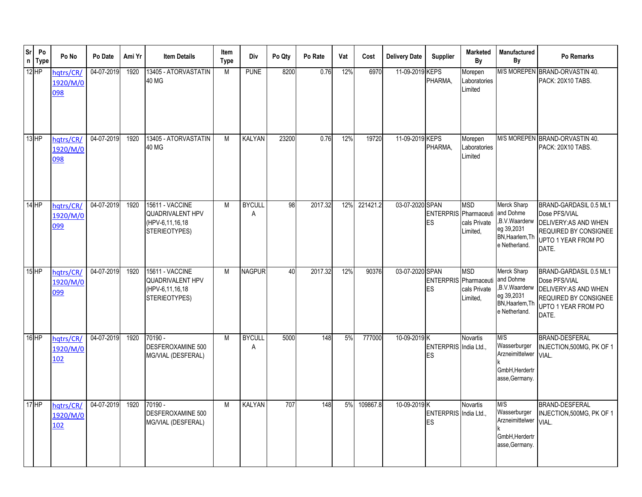| sr      | Po<br>n Type | Po No                        | Po Date    | Ami Yr | <b>Item Details</b>                                                     | Item<br><b>Type</b> | Div                | Po Qty | Po Rate | Vat | Cost     | <b>Delivery Date</b> | <b>Supplier</b>                    | <b>Marketed</b><br>By                  | Manufactured<br>By                                                                          | Po Remarks                                                                                                                |
|---------|--------------|------------------------------|------------|--------|-------------------------------------------------------------------------|---------------------|--------------------|--------|---------|-----|----------|----------------------|------------------------------------|----------------------------------------|---------------------------------------------------------------------------------------------|---------------------------------------------------------------------------------------------------------------------------|
| $12$ HP |              | hqtrs/CR/<br>1920/M/0<br>098 | 04-07-2019 | 1920   | 13405 - ATORVASTATIN<br>40 MG                                           | M                   | <b>PUNE</b>        | 8200   | 0.76    | 12% | 6970     | 11-09-2019 KEPS      | PHARMA,                            | Morepen<br>Laboratories<br>Limited     |                                                                                             | M/S MOREPEN BRAND-ORVASTIN 40.<br>PACK: 20X10 TABS.                                                                       |
| $13$ HP |              | hqtrs/CR/<br>1920/M/0<br>098 | 04-07-2019 | 1920   | 13405 - ATORVASTATIN<br>40 MG                                           | M                   | <b>KALYAN</b>      | 23200  | 0.76    | 12% | 19720    | 11-09-2019 KEPS      | PHARMA,                            | Morepen<br>Laboratories<br>Limited     |                                                                                             | M/S MOREPEN BRAND-ORVASTIN 40.<br>PACK: 20X10 TABS.                                                                       |
| $14$ HP |              | hqtrs/CR/<br>1920/M/0<br>099 | 04-07-2019 | 1920   | 15611 - VACCINE<br>QUADRIVALENT HPV<br>(HPV-6,11,16,18<br>STERIEOTYPES) | M                   | <b>BYCULL</b><br>A | 98     | 2017.32 | 12% | 221421.2 | 03-07-2020 SPAN      | ENTERPRIS Pharmaceuti<br>ES        | <b>MSD</b><br>cals Private<br>Limited, | Merck Sharp<br>and Dohme<br>,B.V.Waarderw<br>eg 39,2031<br>BN, Haarlem, Th<br>e Netherland. | BRAND-GARDASIL 0.5 ML1<br>Dose PFS/VIAL<br>DELIVERY: AS AND WHEN<br>REQUIRED BY CONSIGNEE<br>UPTO 1 YEAR FROM PO<br>DATE. |
| $15$ HP |              | hqtrs/CR/<br>1920/M/0<br>099 | 04-07-2019 | 1920   | 15611 - VACCINE<br>QUADRIVALENT HPV<br>(HPV-6,11,16,18<br>STERIEOTYPES) | M                   | <b>NAGPUR</b>      | 40     | 2017.32 | 12% | 90376    | 03-07-2020 SPAN      | <b>ENTERPRIS</b> Pharmaceuti<br>ES | <b>MSD</b><br>cals Private<br>Limited, | Merck Sharp<br>and Dohme<br>B.V.Waarderw<br>eg 39,2031<br>BN, Haarlem, Th<br>e Netherland.  | BRAND-GARDASIL 0.5 ML1<br>Dose PFS/VIAL<br>DELIVERY: AS AND WHEN<br>REQUIRED BY CONSIGNEE<br>UPTO 1 YEAR FROM PO<br>DATE. |
| 16 HP   |              | hqtrs/CR/<br>1920/M/0<br>102 | 04-07-2019 | 1920   | 70190 -<br>DESFEROXAMINE 500<br>MG/VIAL (DESFERAL)                      | M                   | <b>BYCULL</b><br>Α | 5000   | 148     | 5%  | 777000   | 10-09-2019 K         | ENTERPRIS India Ltd.,<br>ES        | <b>Novartis</b>                        | M/S<br>Wasserburger<br>Arzneimittelwer<br>GmbH, Herdertr<br>asse, Germany.                  | BRAND-DESFERAL<br>INJECTION, 500MG, PK OF 1<br>VIAL.                                                                      |
| $17$ HP |              | hqtrs/CR/<br>1920/M/0<br>102 | 04-07-2019 | 1920   | 70190 -<br>DESFEROXAMINE 500<br>MG/VIAL (DESFERAL)                      | M                   | <b>KALYAN</b>      | 707    | 148     | 5%  | 109867.8 | 10-09-2019 K         | ENTERPRIS India Ltd.,<br>ES        | Novartis                               | M/S<br>Wasserburger<br>Arzneimittelwer<br>GmbH, Herdertr<br>asse, Germany.                  | <b>BRAND-DESFERAL</b><br>INJECTION, 500MG, PK OF 1<br>VIAL.                                                               |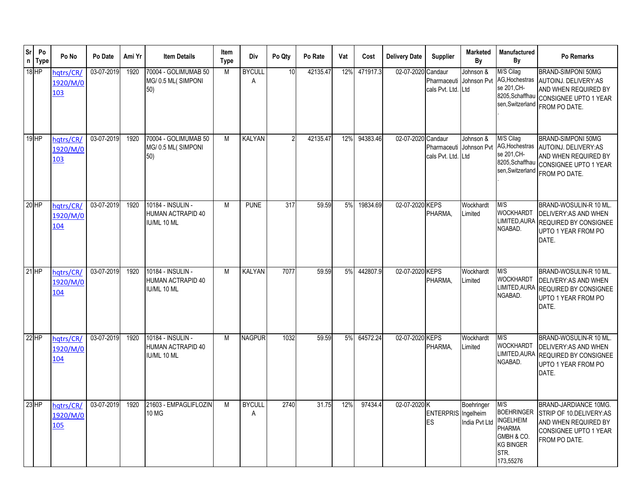| <b>Sr</b><br>$\mathsf{n}$ | Po<br><b>Type</b> | Po No                        | Po Date    | Ami Yr | <b>Item Details</b>                                          | Item<br><b>Type</b> | Div                | Po Qty | Po Rate  | Vat | Cost     | <b>Delivery Date</b> | <b>Supplier</b>                                          | Marketed<br>By              | Manufactured<br>By                                                                       | Po Remarks                                                                                                                    |
|---------------------------|-------------------|------------------------------|------------|--------|--------------------------------------------------------------|---------------------|--------------------|--------|----------|-----|----------|----------------------|----------------------------------------------------------|-----------------------------|------------------------------------------------------------------------------------------|-------------------------------------------------------------------------------------------------------------------------------|
|                           | $18$ HP           | hqtrs/CR/<br>1920/M/0<br>103 | 03-07-2019 | 1920   | 70004 - GOLIMUMAB 50<br>MG/0.5 ML(SIMPONI<br>50)             | M                   | <b>BYCULI</b><br>Α | 10     | 42135.47 | 12% | 471917.3 | 02-07-2020           | Candaur<br>Pharmaceuti Johnson Pvt<br>cals Pvt. Ltd. Ltd | Johnson &                   | M/S Cilag<br>AG, Hochestras<br>se 201, CH-<br>8205, Schaffhau                            | BRAND-SIMPONI 50MG<br>AUTOINJ. DELIVERY:AS<br>AND WHEN REQUIRED BY<br>CONSIGNEE UPTO 1 YEAR<br>sen, Switzerland FROM PO DATE. |
|                           | $19$ HP           | hqtrs/CR,<br>1920/M/0<br>103 | 03-07-2019 | 1920   | 70004 - GOLIMUMAB 50<br>MG/0.5 ML(SIMPONI<br>50)             | M                   | <b>KALYAN</b>      |        | 42135.47 | 12% | 94383.46 | 02-07-2020 Candaur   | Pharmaceuti Johnson Pvt<br>cals Pvt. Ltd. Ltd            | Johnson &                   | M/S Cilag<br>AG, Hochestras<br>se 201, CH-<br>8205, Schaffhau                            | BRAND-SIMPONI 50MG<br>AUTOINJ. DELIVERY:AS<br>AND WHEN REQUIRED BY<br>CONSIGNEE UPTO 1 YEAR<br>sen, Switzerland FROM PO DATE. |
|                           | $20$ HP           | hqtrs/CR/<br>1920/M/0<br>104 | 03-07-2019 | 1920   | 10184 - INSULIN -<br>HUMAN ACTRAPID 40<br>IU/ML 10 ML        | M                   | <b>PUNE</b>        | 317    | 59.59    | 5%  | 19834.69 | 02-07-2020 KEPS      | PHARMA,                                                  | Wockhardt<br>Limited        | M/S<br><b>WOCKHARDT</b><br>LIMITED, AURA<br>NGABAD.                                      | BRAND-WOSULIN-R 10 ML.<br>DELIVERY: AS AND WHEN<br>REQUIRED BY CONSIGNEE<br>UPTO 1 YEAR FROM PO<br>DATE.                      |
|                           | $21$ HP           | hqtrs/CR/<br>1920/M/0<br>104 | 03-07-2019 | 1920   | 10184 - INSULIN -<br><b>HUMAN ACTRAPID 40</b><br>IU/ML 10 ML | M                   | <b>KALYAN</b>      | 7077   | 59.59    | 5%  | 442807.9 | 02-07-2020 KEPS      | PHARMA.                                                  | Wockhardt<br>Limited        | M/S<br><b>WOCKHARDT</b><br>LIMITED, AURA<br>NGABAD.                                      | BRAND-WOSULIN-R 10 ML.<br>DELIVERY: AS AND WHEN<br><b>REQUIRED BY CONSIGNEE</b><br>UPTO 1 YEAR FROM PO<br>DATE.               |
|                           | $22$ HP           | hqtrs/CR,<br>1920/M/0<br>104 | 03-07-2019 | 1920   | 10184 - INSULIN -<br>HUMAN ACTRAPID 40<br>IU/ML 10 ML        | M                   | <b>NAGPUR</b>      | 1032   | 59.59    | 5%  | 64572.24 | 02-07-2020 KEPS      | PHARMA,                                                  | Wockhardt<br>Limited        | M/S<br><b>WOCKHARDT</b><br>LIMITED, AURA<br>NGABAD.                                      | BRAND-WOSULIN-R 10 ML.<br>DELIVERY: AS AND WHEN<br>REQUIRED BY CONSIGNEE<br>UPTO 1 YEAR FROM PO<br>DATE.                      |
|                           | $23$ HP           | hqtrs/CR/<br>1920/M/0<br>105 | 03-07-2019 | 1920   | 21603 - EMPAGLIFLOZIN<br>10 MG                               | M                   | <b>BYCULL</b><br>Α | 2740   | 31.75    | 12% | 97434.4  | 02-07-2020 K         | ENTERPRIS Ingelheim<br><b>ES</b>                         | Boehringer<br>India Pvt Ltd | M/S<br><b>INGELHEIM</b><br>PHARMA<br>GMBH & CO.<br><b>KG BINGER</b><br>STR.<br>173,55276 | BRAND-JARDIANCE 10MG.<br>BOEHRINGER STRIP OF 10.DELIVERY:AS<br>AND WHEN REQUIRED BY<br>CONSIGNEE UPTO 1 YEAR<br>FROM PO DATE. |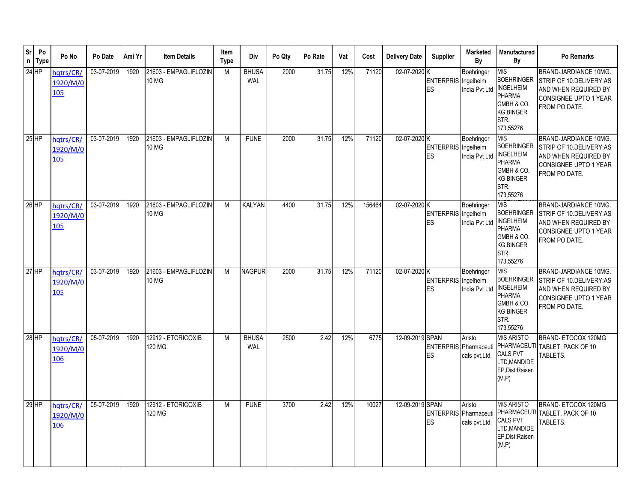| Sr | Po<br>n Type | Po No                        | Po Date    | Ami Yr | <b>Item Details</b>                   | Item<br><b>Type</b> | Div                 | Po Qty | Po Rate | Vat | Cost   | <b>Delivery Date</b> | <b>Supplier</b>                         | <b>Marketed</b><br>By                    | <b>Manufactured</b><br>By                                                                                            | Po Remarks                                                                                                                |
|----|--------------|------------------------------|------------|--------|---------------------------------------|---------------------|---------------------|--------|---------|-----|--------|----------------------|-----------------------------------------|------------------------------------------|----------------------------------------------------------------------------------------------------------------------|---------------------------------------------------------------------------------------------------------------------------|
|    | $24$ HP      | hqtrs/CR/<br>1920/M/0<br>105 | 03-07-2019 | 1920   | 21603 - EMPAGLIFLOZIN<br><b>10 MG</b> | M                   | <b>BHUSA</b><br>WAL | 2000   | 31.75   | 12% | 71120  | 02-07-2020 K         | <b>ENTERPRIS</b><br><b>ES</b>           | Boehringer<br>Ingelheim<br>India Pvt Ltd | M/S<br><b>BOEHRINGER</b><br><b>INGELHEIM</b><br><b>PHARMA</b><br>GMBH & CO.<br><b>KG BINGER</b><br>STR.<br>173,55276 | <b>BRAND-JARDIANCE 10MG.</b><br>STRIP OF 10.DELIVERY:AS<br>AND WHEN REQUIRED BY<br>CONSIGNEE UPTO 1 YEAR<br>FROM PO DATE. |
|    | $25$ HP      | hqtrs/CR/<br>1920/M/0<br>105 | 03-07-2019 | 1920   | 21603 - EMPAGLIFLOZIN<br>10 MG        | M                   | <b>PUNE</b>         | 2000   | 31.75   | 12% | 71120  | 02-07-2020 K         | ENTERPRIS Ingelheim<br>ES               | Boehringer<br>India Pvt Ltd              | M/S<br><b>BOEHRINGER</b><br><b>INGELHEIM</b><br><b>PHARMA</b><br>GMBH & CO.<br><b>KG BINGER</b><br>STR.<br>173,55276 | BRAND-JARDIANCE 10MG.<br>STRIP OF 10.DELIVERY:AS<br>AND WHEN REQUIRED BY<br><b>CONSIGNEE UPTO 1 YEAR</b><br>FROM PO DATE. |
|    | 26 HP        | hqtrs/CR<br>1920/M/0<br>105  | 03-07-2019 | 1920   | 21603 - EMPAGLIFLOZIN<br><b>10 MG</b> | M                   | <b>KALYAN</b>       | 4400   | 31.75   | 12% | 156464 | 02-07-2020 K         | <b>ENTERPRIS</b> Ingelheim<br><b>ES</b> | Boehringer<br>India Pvt Ltd              | M/S<br><b>BOEHRINGER</b><br><b>INGELHEIM</b><br><b>PHARMA</b><br>GMBH & CO.<br><b>KG BINGER</b><br>STR.<br>173,55276 | <b>BRAND-JARDIANCE 10MG.</b><br>STRIP OF 10.DELIVERY:AS<br>AND WHEN REQUIRED BY<br>CONSIGNEE UPTO 1 YEAR<br>FROM PO DATE. |
|    | $27$ HP      | hqtrs/CR,<br>1920/M/0<br>105 | 03-07-2019 | 1920   | 21603 - EMPAGLIFLOZIN<br><b>10 MG</b> | M                   | <b>NAGPUR</b>       | 2000   | 31.75   | 12% | 71120  | 02-07-2020 K         | <b>ENTERPRIS</b> Ingelheim<br>ES        | Boehringer<br>India Pvt Ltd              | M/S<br><b>BOEHRINGER</b><br><b>INGELHEIM</b><br><b>PHARMA</b><br>GMBH & CO.<br><b>KG BINGER</b><br>STR.<br>173,55276 | BRAND-JARDIANCE 10MG.<br>STRIP OF 10.DELIVERY:AS<br>AND WHEN REQUIRED BY<br>CONSIGNEE UPTO 1 YEAR<br>FROM PO DATE.        |
|    | 28 HP        | hqtrs/CR/<br>1920/M/0<br>106 | 05-07-2019 | 1920   | 12912 - ETORICOXIB<br>120 MG          | M                   | <b>BHUSA</b><br>WAL | 2500   | 2.42    | 12% | 6775   | 12-09-2019 SPAN      | ENTERPRIS Pharmaceuti<br><b>IES</b>     | Aristo<br>cals pvt.Ltd.                  | <b>M/S ARISTO</b><br><b>CALS PVT</b><br>LTD, MANDIDE<br>EP, Dist: Raisen<br>(M.P)                                    | BRAND-ETOCOX 120MG<br>PHARMACEUTI TABLET. PACK OF 10<br>TABLETS.                                                          |
|    | $29$ HP      | hqtrs/CR/<br>1920/M/0<br>106 | 05-07-2019 | 1920   | 12912 - ETORICOXIB<br>120 MG          | M                   | <b>PUNE</b>         | 3700   | 2.42    | 12% | 10027  | 12-09-2019 SPAN      | ENTERPRIS Pharmaceuti<br>ES             | Aristo<br>cals pvt.Ltd.                  | <b>M/S ARISTO</b><br><b>CALS PVT</b><br>LTD, MANDIDE<br>EP.Dist:Raisen<br>(M.P)                                      | BRAND-ETOCOX 120MG<br>PHARMACEUTI TABLET. PACK OF 10<br>TABLETS.                                                          |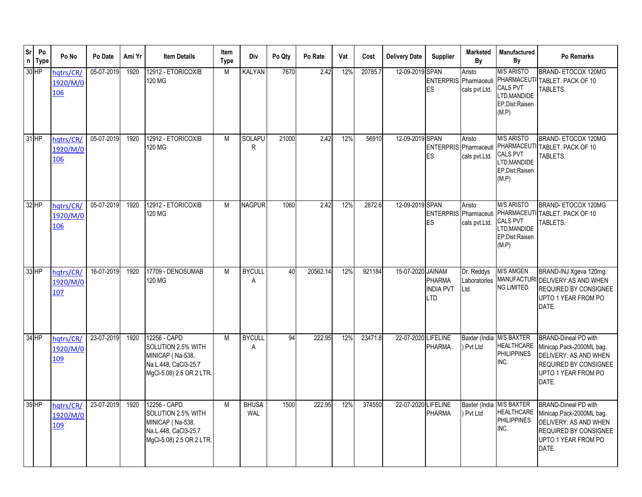| Sr      | Po<br>n Type | Po No                               | Po Date    | Ami Yr | <b>Item Details</b>                                                                                        | Item<br><b>Type</b> | Div                        | Po Qty | Po Rate  | Vat | Cost    | <b>Delivery Date</b> | <b>Supplier</b>                           | <b>Marketed</b><br>Bν              | <b>Manufactured</b><br>By                                                         | Po Remarks                                                                                                                                |
|---------|--------------|-------------------------------------|------------|--------|------------------------------------------------------------------------------------------------------------|---------------------|----------------------------|--------|----------|-----|---------|----------------------|-------------------------------------------|------------------------------------|-----------------------------------------------------------------------------------|-------------------------------------------------------------------------------------------------------------------------------------------|
| $30$ HP |              | hqtrs/CR/<br>1920/M/0<br>106        | 05-07-2019 | 1920   | 12912 - ETORICOXIB<br>120 MG                                                                               | M                   | KALYAN                     | 7670   | 2.42     | 12% | 20785.7 | 12-09-2019 SPAN      | <b>ENTERPRIS</b> Pharmaceuti<br>ES        | Aristo<br>cals pvt.Ltd.            | <b>M/S ARISTO</b><br><b>CALS PVT</b><br>LTD, MANDIDE<br>EP, Dist: Raisen<br>(M.P) | BRAND-ETOCOX 120MG<br>PHARMACEUTI TABLET. PACK OF 10<br>TABLETS.                                                                          |
| $31$ HP |              | hqtrs/CR/<br>1920/M/0<br>106        | 05-07-2019 | 1920   | 12912 - ETORICOXIB<br>120 MG                                                                               | M                   | SOLAPU<br>R                | 21000  | 2.42     | 12% | 56910   | 12-09-2019 SPAN      | ENTERPRIS Pharmaceuti<br>ES               | Aristo<br>cals pvt.Ltd.            | <b>M/S ARISTO</b><br>CALS PVT<br>LTD.MANDIDE<br>EP, Dist: Raisen<br>(M.P)         | BRAND-ETOCOX 120MG<br>PHARMACEUTI TABLET. PACK OF 10<br>TABLETS.                                                                          |
| $32$ HP |              | hatrs/CR<br>1920/M/0<br>106         | 05-07-2019 | 1920   | 12912 - ETORICOXIB<br>120 MG                                                                               | M                   | NAGPUR                     | 1060   | 2.42     | 12% | 2872.6  | 12-09-2019 SPAN      | <b>ENTERPRIS</b> Pharmaceuti<br><b>ES</b> | Aristo<br>cals pvt.Ltd.            | <b>M/S ARISTO</b><br><b>CALS PVT</b><br>LTD, MANDIDE<br>EP, Dist: Raisen<br>(M.P) | BRAND-ETOCOX 120MG<br>PHARMACEUTI TABLET. PACK OF 10<br>TABLETS.                                                                          |
| $33$ HP |              | hqtrs/CR/<br>1920/M/0<br>107        | 16-07-2019 | 1920   | 17709 - DENOSUMAB<br>120 MG                                                                                | M                   | <b>BYCULL</b><br>A         | 40     | 20562.14 | 12% | 921184  | 15-07-2020 JAINAM    | PHARMA<br><b>INDIA PVT</b><br>LTD         | Dr. Reddys<br>Laboratories<br>Ltd. | <b>M/S AMGEN</b><br><b>MANUFACTURI</b><br>NG LIMITED.                             | BRAND-INJ Xgeva 120mg.<br>DELIVERY: AS AND WHEN<br><b>REQUIRED BY CONSIGNEE</b><br>UPTO 1 YEAR FROM PO<br>DATE.                           |
| 34 HP   |              | hqtrs/CR/<br>1920/M/0<br>109        | 23-07-2019 | 1920   | 12256 - CAPD<br>SOLUTION 2.5% WITH<br>MINICAP (Na-538,<br>Na.L.448, CaCl3-25.7<br>MgCl-5.08) 2.5 OR 2 LTR. | M                   | <b>BYCULL</b><br>A         | 94     | 222.95   | 12% | 23471.8 | 22-07-2020 LIFELINE  | <b>PHARMA</b>                             | Pvt Ltd                            | Baxter (India M/S BAXTER<br><b>HEALTHCARE</b><br><b>PHILIPPINES</b><br>INC.       | <b>BRAND-Dineal PD with</b><br>Minicap.Pack-2000ML bag.<br>DELIVERY: AS AND WHEN<br>REQUIRED BY CONSIGNEE<br>UPTO 1 YEAR FROM PO<br>DATE. |
| $35$ HP |              | hqtrs/CR/<br>1920/M/0<br><u>109</u> | 23-07-2019 | 1920   | 12256 - CAPD<br>SOLUTION 2.5% WITH<br>MINICAP (Na-538,<br>Na.L.448, CaCl3-25.7<br>MgCl-5.08) 2.5 OR 2 LTR. | M                   | <b>BHUSA</b><br><b>WAL</b> | 1500   | 222.95   | 12% | 374550  | 22-07-2020 LIFELINE  | <b>PHARMA</b>                             | ) Pvt Ltd                          | Baxter (India M/S BAXTER<br><b>HEALTHCARE</b><br><b>PHILIPPINES</b><br>INC.       | <b>BRAND-Dineal PD with</b><br>Minicap.Pack-2000ML bag.<br>DELIVERY: AS AND WHEN<br>REQUIRED BY CONSIGNEE<br>UPTO 1 YEAR FROM PO<br>DATE. |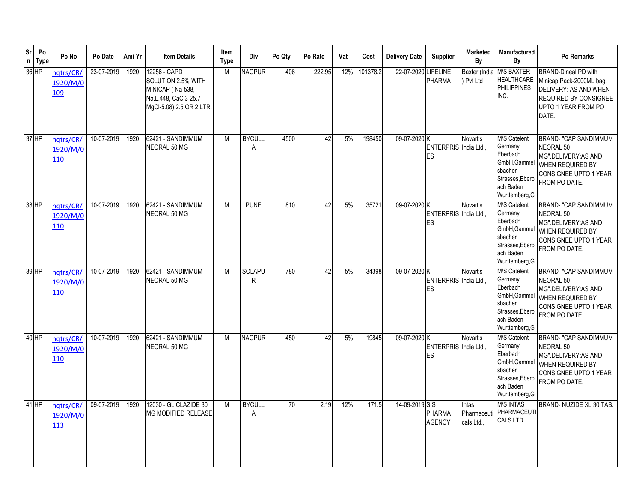| <b>Sr</b><br>$\mathsf n$ | Po<br><b>Type</b> | Po No                        | Po Date    | Ami Yr | <b>Item Details</b>                                                                                        | Item<br><b>Type</b> | Div                | Po Qty | Po Rate | Vat | Cost     | <b>Delivery Date</b> | <b>Supplier</b>                  | <b>Marketed</b><br>By              | Manufactured<br>By                                                                                               | Po Remarks                                                                                                                                |
|--------------------------|-------------------|------------------------------|------------|--------|------------------------------------------------------------------------------------------------------------|---------------------|--------------------|--------|---------|-----|----------|----------------------|----------------------------------|------------------------------------|------------------------------------------------------------------------------------------------------------------|-------------------------------------------------------------------------------------------------------------------------------------------|
|                          | 36 HP             | hqtrs/CR/<br>1920/M/0<br>109 | 23-07-2019 | 1920   | 12256 - CAPD<br>SOLUTION 2.5% WITH<br>MINICAP (Na-538,<br>Na.L.448, CaCl3-25.7<br>MgCl-5.08) 2.5 OR 2 LTR. | M                   | <b>NAGPUR</b>      | 406    | 222.95  | 12% | 101378.2 | 22-07-2020           | <b>LIFELINE</b><br><b>PHARMA</b> | Baxter (India<br>Pvt Ltd           | <b>M/S BAXTER</b><br><b>HEALTHCARE</b><br><b>PHILIPPINES</b><br>INC.                                             | <b>BRAND-Dineal PD with</b><br>Minicap.Pack-2000ML bag.<br>DELIVERY: AS AND WHEN<br>REQUIRED BY CONSIGNEE<br>UPTO 1 YEAR FROM PO<br>DATE. |
|                          | $37$ HP           | hatrs/CR/<br>1920/M/0<br>110 | 10-07-2019 | 1920   | 62421 - SANDIMMUM<br>NEORAL 50 MG                                                                          | M                   | <b>BYCULI</b><br>A | 4500   | 42      | 5%  | 198450   | 09-07-2020 K         | ENTERPRIS India Ltd.,<br>ES      | Novartis                           | M/S Catelent<br>Germany<br>Eberbach<br>GmbH, Gammel<br>sbacher<br>Strasses, Eberb<br>ach Baden<br>Wurttemberg, G | <b>BRAND- "CAP SANDIMMUM</b><br>NEORAL 50<br>MG".DELIVERY:AS AND<br>WHEN REQUIRED BY<br>CONSIGNEE UPTO 1 YEAR<br>FROM PO DATE.            |
|                          | 38 HP             | hatrs/CR/<br>1920/M/0<br>110 | 10-07-2019 | 1920   | 62421 - SANDIMMUM<br>NEORAL 50 MG                                                                          | M                   | <b>PUNE</b>        | 810    | 42      | 5%  | 35721    | 09-07-2020 K         | ENTERPRIS India Ltd.,<br>ES      | Novartis                           | M/S Catelent<br>Germany<br>Eberbach<br>GmbH, Gammel<br>sbacher<br>Strasses, Eberb<br>ach Baden<br>Wurttemberg, G | <b>BRAND- "CAP SANDIMMUM</b><br><b>NEORAL 50</b><br>MG".DELIVERY:AS AND<br>WHEN REQUIRED BY<br>CONSIGNEE UPTO 1 YEAR<br>FROM PO DATE.     |
|                          | 39 HP             | hatrs/CR<br>1920/M/0<br>110  | 10-07-2019 | 1920   | 62421 - SANDIMMUM<br>NEORAL 50 MG                                                                          | M                   | SOLAPU<br>R.       | 780    | 42      | 5%  | 34398    | 09-07-2020 K         | ENTERPRIS India Ltd.,<br>ES      | <b>Novartis</b>                    | M/S Catelent<br>Germany<br>Eberbach<br>GmbH, Gammel<br>sbacher<br>Strasses, Eberb<br>ach Baden<br>Wurttemberg, G | <b>BRAND- "CAP SANDIMMUM</b><br>NEORAL 50<br>MG".DELIVERY:AS AND<br>WHEN REQUIRED BY<br>CONSIGNEE UPTO 1 YEAR<br>FROM PO DATE.            |
|                          | $40$ HP           | hatrs/CR/<br>1920/M/0<br>110 | 10-07-2019 | 1920   | 62421 - SANDIMMUM<br>NEORAL 50 MG                                                                          | M                   | <b>NAGPUR</b>      | 450    | 42      | 5%  | 19845    | 09-07-2020 K         | ENTERPRIS India Ltd.,<br>ES      | <b>Novartis</b>                    | M/S Catelent<br>Germany<br>Eberbach<br>GmbH, Gammel<br>sbacher<br>Strasses, Eberb<br>ach Baden<br>Wurttemberg, G | <b>BRAND- "CAP SANDIMMUM</b><br>NEORAL 50<br>MG".DELIVERY:AS AND<br>WHEN REQUIRED BY<br>CONSIGNEE UPTO 1 YEAR<br>FROM PO DATE.            |
|                          | $41$ HP           | hqtrs/CR/<br>1920/M/0<br>113 | 09-07-2019 | 1920   | 12030 - GLICLAZIDE 30<br><b>MG MODIFIED RELEASE</b>                                                        | M                   | <b>BYCULL</b><br>A | 70     | 2.19    | 12% | 171.5    | 14-09-2019 S S       | <b>PHARMA</b><br><b>AGENCY</b>   | Intas<br>Pharmaceuti<br>cals Ltd., | <b>M/S INTAS</b><br>PHARMACEUTI<br><b>CALS LTD</b>                                                               | BRAND- NUZIDE XL 30 TAB.                                                                                                                  |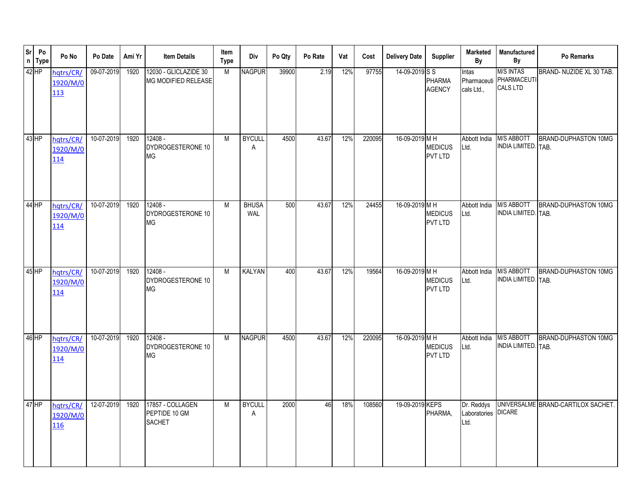|         | Sr<br>n<br>Type | Po No                               | Po Date    | Ami Yr | <b>Item Details</b>                                | Item<br><b>Type</b> | Div                 | Po Qty | Po Rate | Vat | Cost   | <b>Delivery Date</b> | <b>Supplier</b>                  | Marketed<br>By                            | Manufactured<br>By                                 | Po Remarks                         |
|---------|-----------------|-------------------------------------|------------|--------|----------------------------------------------------|---------------------|---------------------|--------|---------|-----|--------|----------------------|----------------------------------|-------------------------------------------|----------------------------------------------------|------------------------------------|
| 42 HP   |                 | hqtrs/CR/<br>1920/M/0<br>113        | 09-07-2019 | 1920   | 12030 - GLICLAZIDE 30<br>MG MODIFIED RELEASE       | M                   | <b>NAGPUR</b>       | 39900  | 2.19    | 12% | 97755  | 14-09-2019 S S       | <b>PHARMA</b><br><b>AGENCY</b>   | Intas<br>Pharmaceuti<br>cals Ltd.,        | <b>M/S INTAS</b><br>PHARMACEUTI<br><b>CALS LTD</b> | BRAND- NUZIDE XL 30 TAB.           |
| $43$ HP |                 | hqtrs/CR/<br>1920/M/0<br>114        | 10-07-2019 | 1920   | $12408 -$<br>DYDROGESTERONE 10<br><b>MG</b>        | M                   | <b>BYCULL</b><br>Α  | 4500   | 43.67   | 12% | 220095 | 16-09-2019 MH        | <b>MEDICUS</b><br><b>PVT LTD</b> | Abbott India<br>Ltd.                      | <b>M/S ABBOTT</b><br>INDIA LIMITED. TAB.           | <b>BRAND-DUPHASTON 10MG</b>        |
| $44$ HP |                 | hqtrs/CR/<br>1920/M/0<br>114        | 10-07-2019 | 1920   | 12408 -<br>DYDROGESTERONE 10<br><b>MG</b>          | M                   | <b>BHUSA</b><br>WAL | 500    | 43.67   | 12% | 24455  | 16-09-2019 M H       | <b>MEDICUS</b><br><b>PVT LTD</b> | Abbott India<br>Ltd.                      | <b>M/S ABBOTT</b><br>INDIA LIMITED. TAB.           | <b>BRAND-DUPHASTON 10MG</b>        |
| $45$ HP |                 | hqtrs/CR/<br>1920/M/0<br>114        | 10-07-2019 | 1920   | $12408 -$<br>DYDROGESTERONE 10<br><b>MG</b>        | M                   | KALYAN              | 400    | 43.67   | 12% | 19564  | 16-09-2019 MH        | <b>MEDICUS</b><br><b>PVT LTD</b> | Abbott India<br>Ltd.                      | <b>M/S ABBOTT</b><br>INDIA LIMITED. TAB.           | BRAND-DUPHASTON 10MG               |
| 46 HP   |                 | hqtrs/CR/<br>1920/M/0<br>114        | 10-07-2019 | 1920   | $12408 -$<br>DYDROGESTERONE 10<br><b>MG</b>        | M                   | <b>NAGPUR</b>       | 4500   | 43.67   | 12% | 220095 | 16-09-2019 MH        | <b>MEDICUS</b><br>PVT LTD        | Abbott India<br>Ltd.                      | <b>M/S ABBOTT</b><br>INDIA LIMITED. TAB.           | BRAND-DUPHASTON 10MG               |
| $47$ HP |                 | hqtrs/CR/<br>1920/M/0<br><u>116</u> | 12-07-2019 | 1920   | 17857 - COLLAGEN<br>PEPTIDE 10 GM<br><b>SACHET</b> | M                   | <b>BYCULL</b><br>Α  | 2000   | 46      | 18% | 108560 | 19-09-2019 KEPS      | PHARMA,                          | Dr. Reddys<br>Laboratories DICARE<br>Ltd. |                                                    | UNIVERSALME BRAND-CARTILOX SACHET. |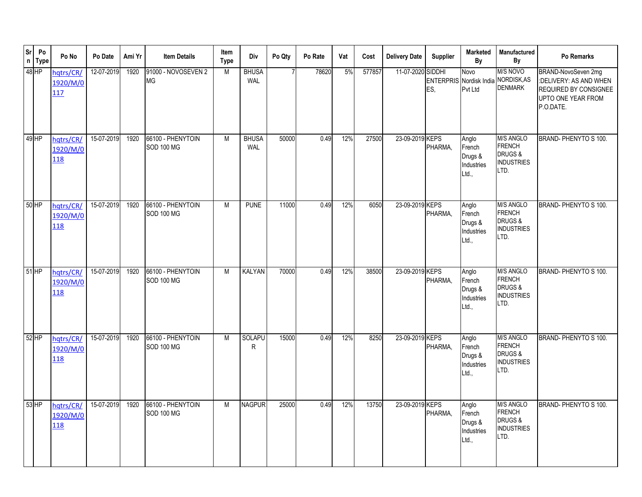| <b>Sr</b> | Po<br>$n$ Type | Po No                        | Po Date    | Ami Yr | <b>Item Details</b>                    | Item<br>Type | Div                        | Po Qty | Po Rate | Vat | Cost   | <b>Delivery Date</b> | <b>Supplier</b>      | <b>Marketed</b><br>By                                  | Manufactured<br>By                                                                   | Po Remarks                                                                                                |
|-----------|----------------|------------------------------|------------|--------|----------------------------------------|--------------|----------------------------|--------|---------|-----|--------|----------------------|----------------------|--------------------------------------------------------|--------------------------------------------------------------------------------------|-----------------------------------------------------------------------------------------------------------|
|           | 48 HP          | hqtrs/CR/<br>1920/M/0<br>117 | 12-07-2019 | 1920   | 91000 - NOVOSEVEN 2<br><b>MG</b>       | M            | <b>BHUSA</b><br><b>WAL</b> |        | 78620   | 5%  | 577857 | 11-07-2020           | <b>SIDDHI</b><br>ES, | Novo<br>ENTERPRIS Nordisk India NORDISK, AS<br>Pvt Ltd | M/S NOVO<br><b>DENMARK</b>                                                           | BRAND-NovoSeven 2mg<br>:DELIVERY: AS AND WHEN<br>REQUIRED BY CONSIGNEE<br>UPTO ONE YEAR FROM<br>P.O.DATE. |
|           | 49 HP          | hqtrs/CR/<br>1920/M/0<br>118 | 15-07-2019 | 1920   | 66100 - PHENYTOIN<br><b>SOD 100 MG</b> | M            | <b>BHUSA</b><br><b>WAL</b> | 50000  | 0.49    | 12% | 27500  | 23-09-2019 KEPS      | PHARMA,              | Anglo<br>French<br>Drugs &<br>Industries<br>Ltd.,      | <b>M/S ANGLO</b><br><b>FRENCH</b><br>DRUGS&<br><b>INDUSTRIES</b><br>LTD.             | BRAND-PHENYTO S 100.                                                                                      |
|           | $50$ HP        | hatrs/CR/<br>1920/M/0<br>118 | 15-07-2019 | 1920   | 66100 - PHENYTOIN<br><b>SOD 100 MG</b> | M            | <b>PUNE</b>                | 11000  | 0.49    | 12% | 6050   | 23-09-2019 KEPS      | PHARMA,              | Anglo<br>French<br>Drugs &<br>Industries<br>Ltd.,      | <b>M/S ANGLO</b><br><b>FRENCH</b><br><b>DRUGS &amp;</b><br><b>INDUSTRIES</b><br>LTD. | BRAND-PHENYTO S 100.                                                                                      |
|           | $51$ HP        | hqtrs/CR/<br>1920/M/0<br>118 | 15-07-2019 | 1920   | 66100 - PHENYTOIN<br><b>SOD 100 MG</b> | M            | <b>KALYAN</b>              | 70000  | 0.49    | 12% | 38500  | 23-09-2019 KEPS      | PHARMA.              | Anglo<br>French<br>Drugs &<br>Industries<br>Ltd.,      | <b>M/S ANGLO</b><br><b>FRENCH</b><br>DRUGS&<br><b>INDUSTRIES</b><br>LTD.             | BRAND- PHENYTO S 100.                                                                                     |
|           | $52$ HP        | hatrs/CR/<br>1920/M/0<br>118 | 15-07-2019 | 1920   | 66100 - PHENYTOIN<br><b>SOD 100 MG</b> | M            | <b>SOLAPU</b><br>R         | 15000  | 0.49    | 12% | 8250   | 23-09-2019 KEPS      | PHARMA,              | Anglo<br>French<br>Drugs &<br>Industries<br>Ltd.,      | <b>M/S ANGLO</b><br><b>FRENCH</b><br>DRUGS&<br><b>INDUSTRIES</b><br>LTD.             | BRAND-PHENYTO S 100.                                                                                      |
|           | $53$ HP        | hqtrs/CR/<br>1920/M/0<br>118 | 15-07-2019 | 1920   | 66100 - PHENYTOIN<br><b>SOD 100 MG</b> | M            | <b>NAGPUR</b>              | 25000  | 0.49    | 12% | 13750  | 23-09-2019 KEPS      | PHARMA,              | Anglo<br>French<br>Drugs &<br>Industries<br>Ltd.,      | <b>M/S ANGLO</b><br><b>FRENCH</b><br>DRUGS &<br><b>INDUSTRIES</b><br>LTD.            | BRAND-PHENYTO S 100.                                                                                      |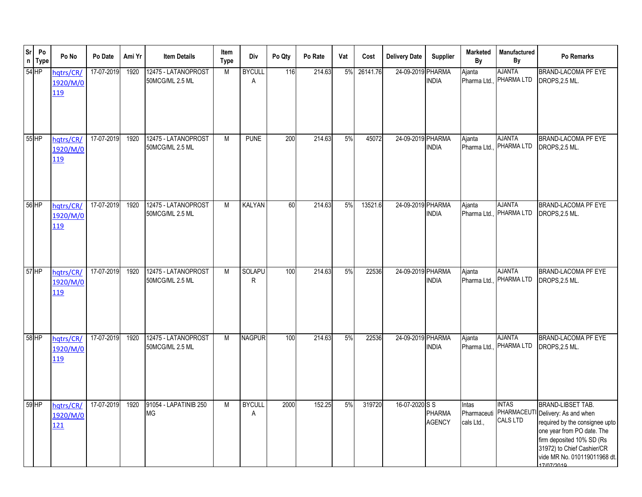| <b>Sr</b><br>$\mathsf{n}$ | Po<br><b>Type</b> | Po No                        | Po Date    | Ami Yr | <b>Item Details</b>                    | Item<br><b>Type</b> | Div                | Po Qty | Po Rate | Vat | Cost     | <b>Delivery Date</b> | Supplier                       | <b>Marketed</b><br>By  | Manufactured<br>By                                         | Po Remarks                                                                                                                                                                                                                 |
|---------------------------|-------------------|------------------------------|------------|--------|----------------------------------------|---------------------|--------------------|--------|---------|-----|----------|----------------------|--------------------------------|------------------------|------------------------------------------------------------|----------------------------------------------------------------------------------------------------------------------------------------------------------------------------------------------------------------------------|
| $54$ HP                   |                   | hqtrs/CR/<br>1920/M/0<br>119 | 17-07-2019 | 1920   | 12475 - LATANOPROST<br>50MCG/ML 2.5 ML | M                   | <b>BYCULL</b><br>A | 116    | 214.63  | 5%  | 26141.76 | 24-09-2019 PHARMA    | <b>INDIA</b>                   | Ajanta<br>Pharma Ltd.  | <b>AJANTA</b><br>PHARMA LTD                                | <b>BRAND-LACOMA PF EYE</b><br>DROPS, 2.5 ML.                                                                                                                                                                               |
| $55$ HP                   |                   | hqtrs/CR/<br>1920/M/0<br>119 | 17-07-2019 | 1920   | 12475 - LATANOPROST<br>50MCG/ML 2.5 ML | M                   | <b>PUNE</b>        | 200    | 214.63  | 5%  | 45072    | 24-09-2019 PHARMA    | <b>INDIA</b>                   | Ajanta                 | <b>AJANTA</b><br>Pharma Ltd., PHARMA LTD                   | BRAND-LACOMA PF EYE<br>DROPS, 2.5 ML.                                                                                                                                                                                      |
| 56 HP                     |                   | hqtrs/CR/<br>1920/M/0<br>119 | 17-07-2019 | 1920   | 12475 - LATANOPROST<br>50MCG/ML 2.5 ML | M                   | KALYAN             | 60     | 214.63  | 5%  | 13521.6  | 24-09-2019 PHARMA    | <b>INDIA</b>                   | Ajanta                 | <b>AJANTA</b><br>Pharma Ltd., PHARMA LTD                   | <b>BRAND-LACOMA PF EYE</b><br>DROPS, 2.5 ML.                                                                                                                                                                               |
| 57 HP                     |                   | hqtrs/CR/<br>1920/M/0<br>119 | 17-07-2019 | 1920   | 12475 - LATANOPROST<br>50MCG/ML 2.5 ML | M                   | <b>SOLAPU</b><br>R | 100    | 214.63  | 5%  | 22536    | 24-09-2019 PHARMA    | <b>INDIA</b>                   | Ajanta<br>Pharma Ltd., | <b>AJANTA</b><br>PHARMA LTD                                | <b>BRAND-LACOMA PF EYE</b><br>DROPS, 2.5 ML.                                                                                                                                                                               |
| 58 HP                     |                   | hqtrs/CR/<br>1920/M/0<br>119 | 17-07-2019 | 1920   | 12475 - LATANOPROST<br>50MCG/ML 2.5 ML | M                   | <b>NAGPUR</b>      | 100    | 214.63  | 5%  | 22536    | 24-09-2019 PHARMA    | <b>INDIA</b>                   | Ajanta<br>Pharma Ltd., | <b>AJANTA</b><br>PHARMA LTD                                | <b>BRAND-LACOMA PF EYE</b><br>DROPS, 2.5 ML.                                                                                                                                                                               |
| $59$ HP                   |                   | hqtrs/CR/<br>1920/M/0<br>121 | 17-07-2019 | 1920   | 91054 - LAPATINIB 250<br><b>MG</b>     | M                   | <b>BYCULL</b><br>A | 2000   | 152.25  | 5%  | 319720   | 16-07-2020 S S       | <b>PHARMA</b><br><b>AGENCY</b> | Intas<br>cals Ltd.,    | <b>INTAS</b><br>Pharmaceuti PHARMACEUTI<br><b>CALS LTD</b> | <b>BRAND-LIBSET TAB.</b><br>Delivery: As and when<br>required by the consignee upto<br>one year from PO date. The<br>firm deposited 10% SD (Rs<br>31972) to Chief Cashier/CR<br>vide MR No. 010119011968 dt.<br>17/07/2010 |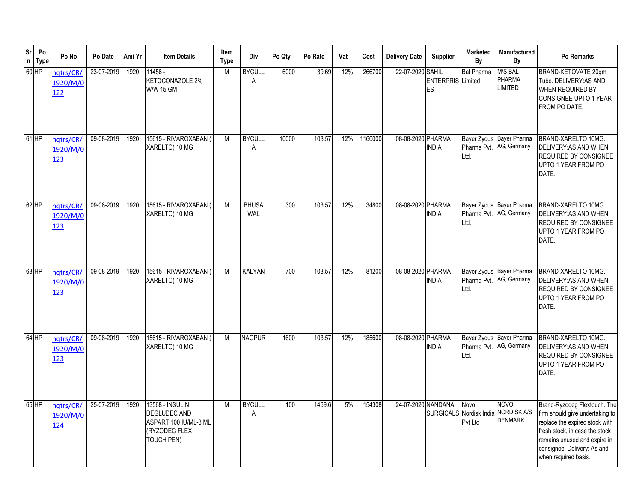| <b>Sr</b><br>$\mathsf{n}$ | Po<br><b>Type</b> | Po No                        | Po Date    | Ami Yr | <b>Item Details</b>                                                                                          | Item<br><b>Type</b> | Div                 | Po Qty | Po Rate | Vat | Cost    | <b>Delivery Date</b> | Supplier                       | <b>Marketed</b><br>By | Manufactured<br>By                                  | Po Remarks                                                                                                                                                                                                                 |
|---------------------------|-------------------|------------------------------|------------|--------|--------------------------------------------------------------------------------------------------------------|---------------------|---------------------|--------|---------|-----|---------|----------------------|--------------------------------|-----------------------|-----------------------------------------------------|----------------------------------------------------------------------------------------------------------------------------------------------------------------------------------------------------------------------------|
|                           | 60 HP             | hqtrs/CR/<br>1920/M/0<br>122 | 23-07-2019 | 1920   | 11456 -<br><b>KETOCONAZOLE 2%</b><br><b>W/W 15 GM</b>                                                        | M                   | <b>BYCULL</b><br>A  | 6000   | 39.69   | 12% | 266700  | 22-07-2020 SAHIL     | <b>ENTERPRIS</b> Limited<br>ES | <b>Bal Pharma</b>     | M/S BAL<br><b>PHARMA</b><br>LIMITED                 | BRAND-KETOVATE 20gm<br>Tube. DELIVERY:AS AND<br>WHEN REQUIRED BY<br><b>CONSIGNEE UPTO 1 YEAR</b><br>FROM PO DATE.                                                                                                          |
| $61$ HP                   |                   | hqtrs/CR/<br>1920/M/0<br>123 | 09-08-2019 | 1920   | 15615 - RIVAROXABAN (<br>XARELTO) 10 MG                                                                      | M                   | <b>BYCULL</b><br>A  | 10000  | 103.57  | 12% | 1160000 | 08-08-2020 PHARMA    | <b>INDIA</b>                   | Pharma Pvt.<br>Ltd.   | Bayer Zydus Bayer Pharma<br>AG, Germany             | BRAND-XARELTO 10MG.<br>DELIVERY: AS AND WHEN<br>REQUIRED BY CONSIGNEE<br>UPTO 1 YEAR FROM PO<br>DATE.                                                                                                                      |
|                           | $62$ HP           | hatrs/CR<br>1920/M/0<br>123  | 09-08-2019 | 1920   | 15615 - RIVAROXABAN<br>XARELTO) 10 MG                                                                        | M                   | <b>BHUSA</b><br>WAL | 300    | 103.57  | 12% | 34800   | 08-08-2020 PHARMA    | <b>INDIA</b>                   | Pharma Pvt.<br>Ltd.   | Bayer Zydus Bayer Pharma<br>AG, Germany             | BRAND-XARELTO 10MG.<br>DELIVERY: AS AND WHEN<br><b>REQUIRED BY CONSIGNEE</b><br>UPTO 1 YEAR FROM PO<br>DATE.                                                                                                               |
|                           | $63$ HP           | hatrs/CR/<br>1920/M/0<br>123 | 09-08-2019 | 1920   | 15615 - RIVAROXABAN<br>XARELTO) 10 MG                                                                        | M                   | KALYAN              | 700    | 103.57  | 12% | 81200   | 08-08-2020 PHARMA    | <b>INDIA</b>                   | Ltd.                  | Bayer Zydus Bayer Pharma<br>Pharma Pvt. AG, Germany | BRAND-XARELTO 10MG.<br>DELIVERY: AS AND WHEN<br>REQUIRED BY CONSIGNEE<br>UPTO 1 YEAR FROM PO<br>DATE.                                                                                                                      |
|                           | 64 HP             | hqtrs/CR/<br>1920/M/0<br>123 | 09-08-2019 | 1920   | 15615 - RIVAROXABAN (<br>XARELTO) 10 MG                                                                      | M                   | <b>NAGPUR</b>       | 1600   | 103.57  | 12% | 185600  | 08-08-2020 PHARMA    | <b>INDIA</b>                   | Ltd.                  | Bayer Zydus Bayer Pharma<br>Pharma Pvt. AG, Germany | BRAND-XARELTO 10MG.<br>DELIVERY: AS AND WHEN<br><b>REQUIRED BY CONSIGNEE</b><br>UPTO 1 YEAR FROM PO<br>DATE.                                                                                                               |
|                           | 65 HP             | hqtrs/CR/<br>1920/M/0<br>124 | 25-07-2019 | 1920   | <b>13568 - INSULIN</b><br><b>DEGLUDEC AND</b><br>ASPART 100 IU/ML-3 ML<br>(RYZODEG FLEX<br><b>TOUCH PEN)</b> | M                   | <b>BYCULL</b><br>A  | 100    | 1469.6  | 5%  | 154308  | 24-07-2020 NANDANA   | SURGICALS Nordisk India        | Novo<br>Pvt Ltd       | NOVO<br><b>NORDISK A/S</b><br><b>DENMARK</b>        | Brand-Ryzodeg Flextouch. The<br>firm should give undertaking to<br>replace the expired stock with<br>fresh stock, in case the stock<br>remains unused and expire in<br>consignee. Delivery: As and<br>when required basis. |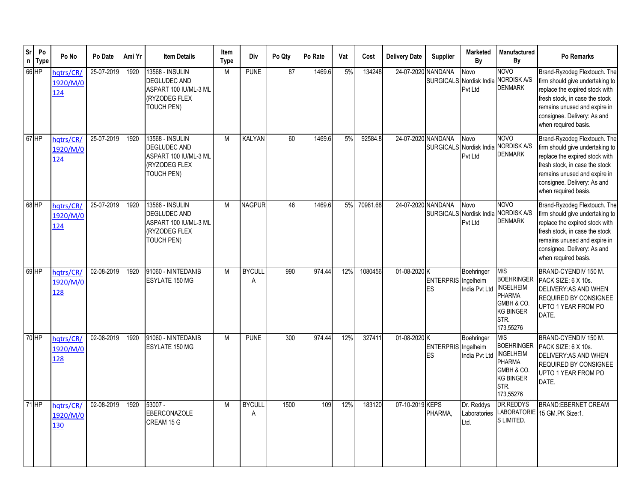| $\rm Sr$ | Po<br>n Type | Po No                        | Po Date    | Ami Yr | <b>Item Details</b>                                                                                   | Item<br><b>Type</b> | Div                | Po Qty | Po Rate | Vat | Cost     | <b>Delivery Date</b> | <b>Supplier</b>                  | <b>Marketed</b><br>By              | Manufactured<br>Bν                                                                                                   | Po Remarks                                                                                                                                                                                                                 |
|----------|--------------|------------------------------|------------|--------|-------------------------------------------------------------------------------------------------------|---------------------|--------------------|--------|---------|-----|----------|----------------------|----------------------------------|------------------------------------|----------------------------------------------------------------------------------------------------------------------|----------------------------------------------------------------------------------------------------------------------------------------------------------------------------------------------------------------------------|
|          | $66$ HP      | hqtrs/CR/<br>1920/M/0<br>124 | 25-07-2019 | 1920   | 13568 - INSULIN<br><b>DEGLUDEC AND</b><br>ASPART 100 IU/ML-3 ML<br>(RYZODEG FLEX<br>TOUCH PEN)        | M                   | <b>PUNE</b>        | 87     | 1469.6  | 5%  | 134248   | 24-07-2020           | <b>NANDANA</b>                   | Novo<br>Pvt Ltd                    | <b>NOVO</b><br>SURGICALS Nordisk India NORDISK A/S<br><b>DENMARK</b>                                                 | Brand-Ryzodeg Flextouch. The<br>firm should give undertaking to<br>replace the expired stock with<br>fresh stock, in case the stock<br>remains unused and expire in<br>consignee. Delivery: As and<br>when required basis. |
|          | 67 HP        | hqtrs/CR/<br>1920/M/0<br>124 | 25-07-2019 | 1920   | 13568 - INSULIN<br>DEGLUDEC AND<br>ASPART 100 IU/ML-3 ML<br>(RYZODEG FLEX<br>TOUCH PEN)               | M                   | <b>KALYAN</b>      | 60     | 1469.6  | 5%  | 92584.8  | 24-07-2020 NANDANA   |                                  | Novo<br>Pvt Ltd                    | <b>NOVO</b><br>SURGICALS Nordisk India NORDISK A/S<br><b>DENMARK</b>                                                 | Brand-Ryzodeg Flextouch. The<br>firm should give undertaking to<br>replace the expired stock with<br>fresh stock, in case the stock<br>remains unused and expire in<br>consignee. Delivery: As and<br>when required basis. |
|          | 68 HP        | hqtrs/CR/<br>1920/M/0<br>124 | 25-07-2019 | 1920   | <b>13568 - INSULIN</b><br>DEGLUDEC AND<br>ASPART 100 IU/ML-3 ML<br>(RYZODEG FLEX<br><b>TOUCH PEN)</b> | M                   | <b>NAGPUR</b>      | 46     | 1469.6  | 5%  | 70981.68 | 24-07-2020 NANDANA   |                                  | Novo<br>Pvt Ltd                    | <b>NOVO</b><br>SURGICALS Nordisk India NORDISK A/S<br><b>DENMARK</b>                                                 | Brand-Ryzodeg Flextouch. The<br>firm should give undertaking to<br>replace the expired stock with<br>fresh stock, in case the stock<br>remains unused and expire in<br>consignee. Delivery: As and<br>when required basis. |
|          | 69 HP        | hqtrs/CR<br>1920/M/0<br>128  | 02-08-2019 | 1920   | 91060 - NINTEDANIB<br>ESYLATE 150 MG                                                                  | M                   | <b>BYCULL</b><br>A | 990    | 974.44  | 12% | 1080456  | 01-08-2020 K         | ENTERPRIS Ingelheim<br><b>ES</b> | Boehringer<br>India Pvt Ltd        | M/S<br><b>BOEHRINGER</b><br><b>INGELHEIM</b><br><b>PHARMA</b><br>GMBH & CO.<br><b>KG BINGER</b><br>STR.<br>173,55276 | BRAND-CYENDIV 150 M.<br>PACK SIZE: 6 X 10s.<br>DELIVERY: AS AND WHEN<br>REQUIRED BY CONSIGNEE<br>UPTO 1 YEAR FROM PO<br>DATE.                                                                                              |
|          | 70 HP        | hatrs/CR/<br>1920/M/0<br>128 | 02-08-2019 | 1920   | 91060 - NINTEDANIB<br>ESYLATE 150 MG                                                                  | M                   | <b>PUNE</b>        | 300    | 974.44  | 12% | 327411   | 01-08-2020 K         | <b>ENTERPRIS</b> Ingelheim<br>ES | Boehringer<br>India Pvt Ltd        | M/S<br><b>BOEHRINGER</b><br><b>INGELHEIM</b><br><b>PHARMA</b><br>GMBH & CO.<br><b>KG BINGER</b><br>STR.<br>173,55276 | BRAND-CYENDIV 150 M.<br>PACK SIZE: 6 X 10s.<br>DELIVERY: AS AND WHEN<br>REQUIRED BY CONSIGNEE<br>UPTO 1 YEAR FROM PO<br>DATE.                                                                                              |
|          | $71$ HP      | hqtrs/CR/<br>1920/M/0<br>130 | 02-08-2019 | 1920   | $53007 -$<br>EBERCONAZOLE<br>CREAM 15 G                                                               | M                   | <b>BYCULL</b><br>Α | 1500   | 109     | 12% | 183120   | 07-10-2019 KEPS      | PHARMA,                          | Dr. Reddys<br>Laboratories<br>Ltd. | DR.REDDYS<br>LABORATORIE<br>S LIMITED.                                                                               | <b>BRAND:EBERNET CREAM</b><br>15 GM.PK Size:1.                                                                                                                                                                             |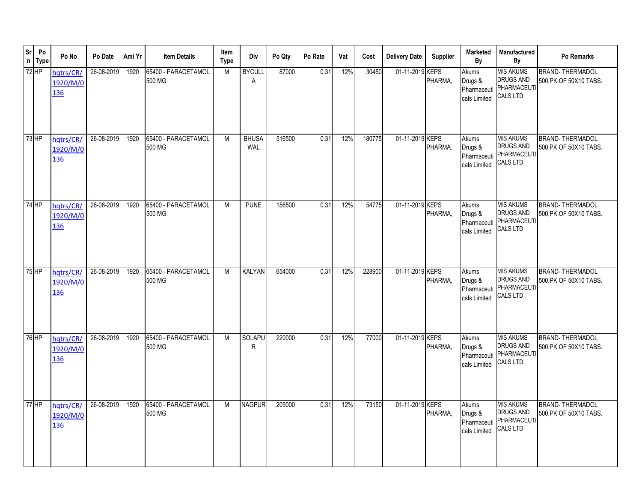| Sr        | Po<br>n Type | Po No                               | Po Date    | Ami Yr | <b>Item Details</b>           | Item<br>Type | Div                 | Po Qty | Po Rate | Vat | Cost   | <b>Delivery Date</b> | <b>Supplier</b> | <b>Marketed</b><br>By                           | <b>Manufactured</b><br>By                                                     | Po Remarks                                       |
|-----------|--------------|-------------------------------------|------------|--------|-------------------------------|--------------|---------------------|--------|---------|-----|--------|----------------------|-----------------|-------------------------------------------------|-------------------------------------------------------------------------------|--------------------------------------------------|
| $72$ HP   |              | hqtrs/CR/<br>1920/M/0<br>136        | 26-08-2019 | 1920   | 65400 - PARACETAMOL<br>500 MG | M            | <b>BYCULL</b><br>A  | 87000  | 0.31    | 12% | 30450  | 01-11-2019 KEPS      | PHARMA,         | Akums<br>Drugs &<br>Pharmaceuti<br>cals Limited | <b>M/S AKUMS</b><br>DRUGS AND<br><b>PHARMACEUT</b><br><b>CALS LTD</b>         | <b>BRAND-THERMADOL</b><br>500, PK OF 50X10 TABS. |
| 73 HP     |              | hqtrs/CR/<br>1920/M/0<br>136        | 26-08-2019 | 1920   | 65400 - PARACETAMOL<br>500 MG | M            | <b>BHUSA</b><br>WAL | 516500 | 0.31    | 12% | 180775 | 01-11-2019 KEPS      | PHARMA,         | Akums<br>Drugs &<br>Pharmaceuti<br>cals Limited | <b>M/S AKUMS</b><br><b>DRUGS AND</b><br><b>PHARMACEUT</b><br><b>CALS LTD</b>  | <b>BRAND-THERMADOL</b><br>500, PK OF 50X10 TABS. |
| 74 HP     |              | hatrs/CR<br>1920/M/0<br>136         | 26-08-2019 | 1920   | 65400 - PARACETAMOL<br>500 MG | M            | <b>PUNE</b>         | 156500 | 0.31    | 12% | 54775  | 01-11-2019 KEPS      | PHARMA,         | Akums<br>Drugs &<br>Pharmaceuti<br>cals Limited | <b>M/S AKUMS</b><br><b>DRUGS AND</b><br>PHARMACEUTI<br><b>CALS LTD</b>        | <b>BRAND-THERMADOL</b><br>500, PK OF 50X10 TABS. |
| 75 HP     |              | hqtrs/CR/<br>1920/M/0<br><u>136</u> | 26-08-2019 | 1920   | 65400 - PARACETAMOL<br>500 MG | M            | KALYAN              | 654000 | 0.31    | 12% | 228900 | 01-11-2019 KEPS      | PHARMA.         | Akums<br>Drugs &<br>Pharmaceuti<br>cals Limited | <b>M/S AKUMS</b><br><b>DRUGS AND</b><br>PHARMACEUTI<br><b>CALS LTD</b>        | <b>BRAND-THERMADOL</b><br>500.PK OF 50X10 TABS.  |
| 76 HP     |              | hatrs/CR/<br>1920/M/0<br>136        | 26-08-2019 | 1920   | 65400 - PARACETAMOL<br>500 MG | M            | SOLAPU<br>R         | 220000 | 0.31    | 12% | 77000  | 01-11-2019 KEPS      | PHARMA,         | Akums<br>Drugs &<br>Pharmaceuti<br>cals Limited | <b>M/S AKUMS</b><br><b>DRUGS AND</b><br>PHARMACEUTI<br><b>CALS LTD</b>        | <b>BRAND-THERMADOL</b><br>500, PK OF 50X10 TABS. |
| $77$ $HP$ |              | hqtrs/CR/<br>1920/M/0<br><u>136</u> | 26-08-2019 | 1920   | 65400 - PARACETAMOL<br>500 MG | M            | <b>NAGPUR</b>       | 209000 | 0.31    | 12% | 73150  | 01-11-2019 KEPS      | PHARMA,         | Akums<br>Drugs &<br>Pharmaceuti<br>cals Limited | <b>M/S AKUMS</b><br><b>DRUGS AND</b><br><b>PHARMACEUTI</b><br><b>CALS LTD</b> | <b>BRAND-THERMADOL</b><br>500.PK OF 50X10 TABS.  |